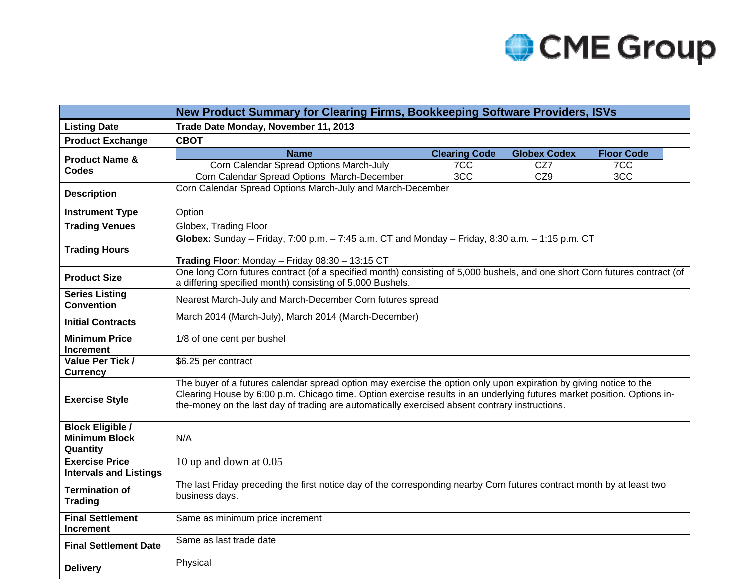

|                                                             | New Product Summary for Clearing Firms, Bookkeeping Software Providers, ISVs                                                                                                                                                                                                                                                                    |                      |                     |                   |  |  |  |  |  |
|-------------------------------------------------------------|-------------------------------------------------------------------------------------------------------------------------------------------------------------------------------------------------------------------------------------------------------------------------------------------------------------------------------------------------|----------------------|---------------------|-------------------|--|--|--|--|--|
| <b>Listing Date</b>                                         | Trade Date Monday, November 11, 2013                                                                                                                                                                                                                                                                                                            |                      |                     |                   |  |  |  |  |  |
| <b>Product Exchange</b>                                     | <b>CBOT</b>                                                                                                                                                                                                                                                                                                                                     |                      |                     |                   |  |  |  |  |  |
| <b>Product Name &amp;</b>                                   | <b>Name</b>                                                                                                                                                                                                                                                                                                                                     | <b>Clearing Code</b> | <b>Globex Codex</b> | <b>Floor Code</b> |  |  |  |  |  |
| Codes                                                       | Corn Calendar Spread Options March-July                                                                                                                                                                                                                                                                                                         | 7CC                  | CZ7                 | 7 <sub>CC</sub>   |  |  |  |  |  |
|                                                             | 3CC<br>Corn Calendar Spread Options March-December<br>CZ9<br>3CC                                                                                                                                                                                                                                                                                |                      |                     |                   |  |  |  |  |  |
| <b>Description</b>                                          | Corn Calendar Spread Options March-July and March-December                                                                                                                                                                                                                                                                                      |                      |                     |                   |  |  |  |  |  |
| <b>Instrument Type</b>                                      | Option                                                                                                                                                                                                                                                                                                                                          |                      |                     |                   |  |  |  |  |  |
| <b>Trading Venues</b>                                       | Globex, Trading Floor                                                                                                                                                                                                                                                                                                                           |                      |                     |                   |  |  |  |  |  |
| <b>Trading Hours</b>                                        | Globex: Sunday - Friday, 7:00 p.m. $-7:45$ a.m. CT and Monday - Friday, 8:30 a.m. $-1:15$ p.m. CT<br>Trading Floor: Monday - Friday 08:30 - 13:15 CT                                                                                                                                                                                            |                      |                     |                   |  |  |  |  |  |
| <b>Product Size</b>                                         | One long Corn futures contract (of a specified month) consisting of 5,000 bushels, and one short Corn futures contract (of<br>a differing specified month) consisting of 5,000 Bushels.                                                                                                                                                         |                      |                     |                   |  |  |  |  |  |
| <b>Series Listing</b><br><b>Convention</b>                  | Nearest March-July and March-December Corn futures spread                                                                                                                                                                                                                                                                                       |                      |                     |                   |  |  |  |  |  |
| <b>Initial Contracts</b>                                    | March 2014 (March-July), March 2014 (March-December)                                                                                                                                                                                                                                                                                            |                      |                     |                   |  |  |  |  |  |
| <b>Minimum Price</b><br><b>Increment</b>                    | 1/8 of one cent per bushel                                                                                                                                                                                                                                                                                                                      |                      |                     |                   |  |  |  |  |  |
| Value Per Tick /<br><b>Currency</b>                         | \$6.25 per contract                                                                                                                                                                                                                                                                                                                             |                      |                     |                   |  |  |  |  |  |
| <b>Exercise Style</b>                                       | The buyer of a futures calendar spread option may exercise the option only upon expiration by giving notice to the<br>Clearing House by 6:00 p.m. Chicago time. Option exercise results in an underlying futures market position. Options in-<br>the-money on the last day of trading are automatically exercised absent contrary instructions. |                      |                     |                   |  |  |  |  |  |
| <b>Block Eligible /</b><br><b>Minimum Block</b><br>Quantity | N/A                                                                                                                                                                                                                                                                                                                                             |                      |                     |                   |  |  |  |  |  |
| <b>Exercise Price</b><br><b>Intervals and Listings</b>      | 10 up and down at 0.05                                                                                                                                                                                                                                                                                                                          |                      |                     |                   |  |  |  |  |  |
| <b>Termination of</b><br><b>Trading</b>                     | The last Friday preceding the first notice day of the corresponding nearby Corn futures contract month by at least two<br>business days.                                                                                                                                                                                                        |                      |                     |                   |  |  |  |  |  |
| <b>Final Settlement</b><br><b>Increment</b>                 | Same as minimum price increment                                                                                                                                                                                                                                                                                                                 |                      |                     |                   |  |  |  |  |  |
| <b>Final Settlement Date</b>                                | Same as last trade date                                                                                                                                                                                                                                                                                                                         |                      |                     |                   |  |  |  |  |  |
| <b>Delivery</b>                                             | Physical                                                                                                                                                                                                                                                                                                                                        |                      |                     |                   |  |  |  |  |  |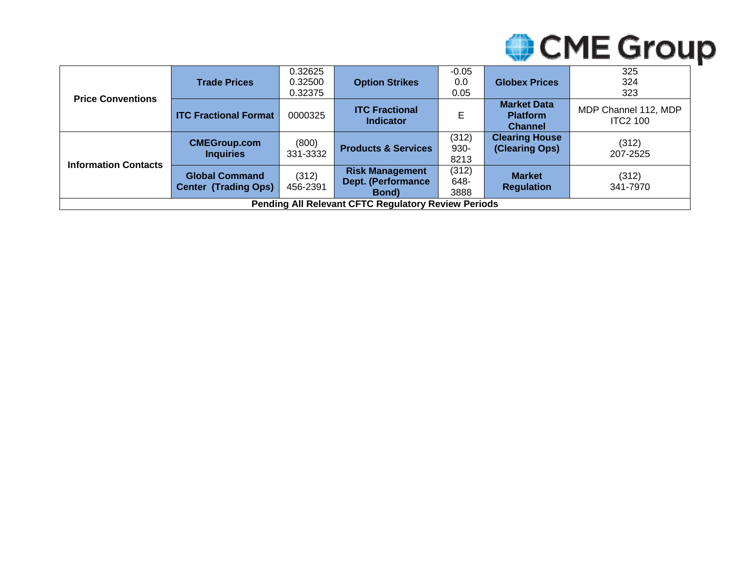

| <b>Price Conventions</b>                                   | <b>Trade Prices</b>                                  | 0.32625<br>0.32500<br>0.32375 | <b>Option Strikes</b>                                              | $-0.05$<br>0.0<br>0.05 | <b>Globex Prices</b>                                    | 325<br>324<br>323                       |
|------------------------------------------------------------|------------------------------------------------------|-------------------------------|--------------------------------------------------------------------|------------------------|---------------------------------------------------------|-----------------------------------------|
|                                                            | <b>ITC Fractional Format</b>                         | 0000325                       | <b>ITC Fractional</b><br><b>Indicator</b>                          | E                      | <b>Market Data</b><br><b>Platform</b><br><b>Channel</b> | MDP Channel 112, MDP<br><b>ITC2 100</b> |
| <b>Information Contacts</b>                                | <b>CMEGroup.com</b><br><b>Inquiries</b>              | (800)<br>331-3332             | <b>Products &amp; Services</b>                                     | (312)<br>930-<br>8213  | <b>Clearing House</b><br>(Clearing Ops)                 | (312)<br>207-2525                       |
|                                                            | <b>Global Command</b><br><b>Center (Trading Ops)</b> | (312)<br>456-2391             | <b>Risk Management</b><br><b>Dept. (Performance</b><br><b>Bond</b> | (312)<br>648-<br>3888  | <b>Market</b><br><b>Regulation</b>                      | (312)<br>341-7970                       |
| <b>Pending All Relevant CFTC Regulatory Review Periods</b> |                                                      |                               |                                                                    |                        |                                                         |                                         |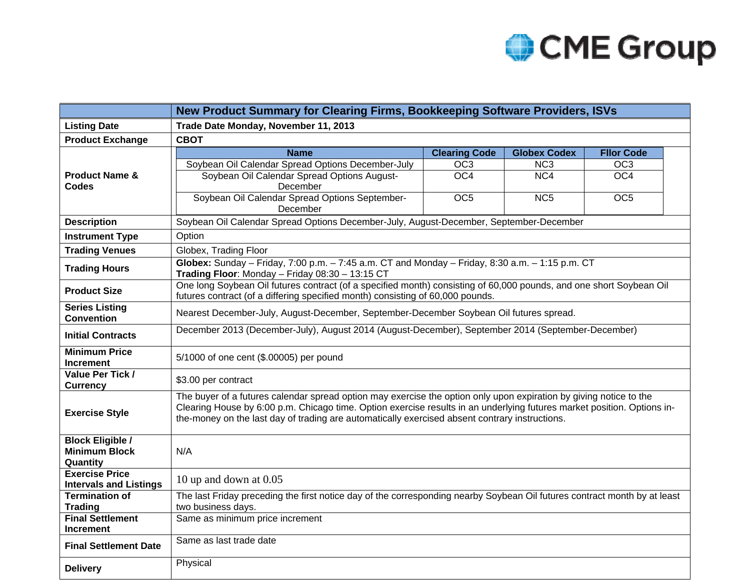

|                                             | New Product Summary for Clearing Firms, Bookkeeping Software Providers, ISVs                                                                                                                                                                                                                                                                    |                                                                                        |                     |                   |  |  |  |  |  |  |
|---------------------------------------------|-------------------------------------------------------------------------------------------------------------------------------------------------------------------------------------------------------------------------------------------------------------------------------------------------------------------------------------------------|----------------------------------------------------------------------------------------|---------------------|-------------------|--|--|--|--|--|--|
| <b>Listing Date</b>                         | Trade Date Monday, November 11, 2013                                                                                                                                                                                                                                                                                                            |                                                                                        |                     |                   |  |  |  |  |  |  |
| <b>Product Exchange</b>                     | <b>CBOT</b>                                                                                                                                                                                                                                                                                                                                     |                                                                                        |                     |                   |  |  |  |  |  |  |
|                                             | <b>Name</b>                                                                                                                                                                                                                                                                                                                                     | <b>Clearing Code</b>                                                                   | <b>Globex Codex</b> | <b>Fllor Code</b> |  |  |  |  |  |  |
|                                             | Soybean Oil Calendar Spread Options December-July                                                                                                                                                                                                                                                                                               | OC <sub>3</sub>                                                                        | NC <sub>3</sub>     | OC3               |  |  |  |  |  |  |
| <b>Product Name &amp;</b>                   | Soybean Oil Calendar Spread Options August-                                                                                                                                                                                                                                                                                                     | OC4                                                                                    | NC4                 | OC4               |  |  |  |  |  |  |
| Codes                                       | December<br>Soybean Oil Calendar Spread Options September-                                                                                                                                                                                                                                                                                      | OC <sub>5</sub>                                                                        | NC <sub>5</sub>     | OC <sub>5</sub>   |  |  |  |  |  |  |
|                                             | December                                                                                                                                                                                                                                                                                                                                        |                                                                                        |                     |                   |  |  |  |  |  |  |
| <b>Description</b>                          |                                                                                                                                                                                                                                                                                                                                                 | Soybean Oil Calendar Spread Options December-July, August-December, September-December |                     |                   |  |  |  |  |  |  |
| <b>Instrument Type</b>                      | Option                                                                                                                                                                                                                                                                                                                                          |                                                                                        |                     |                   |  |  |  |  |  |  |
| <b>Trading Venues</b>                       | Globex, Trading Floor                                                                                                                                                                                                                                                                                                                           |                                                                                        |                     |                   |  |  |  |  |  |  |
| <b>Trading Hours</b>                        | Globex: Sunday - Friday, 7:00 p.m. $-7:45$ a.m. CT and Monday - Friday, 8:30 a.m. $-1:15$ p.m. CT<br>Trading Floor: Monday - Friday 08:30 - 13:15 CT                                                                                                                                                                                            |                                                                                        |                     |                   |  |  |  |  |  |  |
| <b>Product Size</b>                         | One long Soybean Oil futures contract (of a specified month) consisting of 60,000 pounds, and one short Soybean Oil<br>futures contract (of a differing specified month) consisting of 60,000 pounds.                                                                                                                                           |                                                                                        |                     |                   |  |  |  |  |  |  |
| <b>Series Listing</b><br><b>Convention</b>  | Nearest December-July, August-December, September-December Soybean Oil futures spread.                                                                                                                                                                                                                                                          |                                                                                        |                     |                   |  |  |  |  |  |  |
| <b>Initial Contracts</b>                    | December 2013 (December-July), August 2014 (August-December), September 2014 (September-December)                                                                                                                                                                                                                                               |                                                                                        |                     |                   |  |  |  |  |  |  |
| <b>Minimum Price</b><br><b>Increment</b>    | 5/1000 of one cent (\$.00005) per pound                                                                                                                                                                                                                                                                                                         |                                                                                        |                     |                   |  |  |  |  |  |  |
| Value Per Tick /<br><b>Currency</b>         | \$3.00 per contract                                                                                                                                                                                                                                                                                                                             |                                                                                        |                     |                   |  |  |  |  |  |  |
| <b>Exercise Style</b>                       | The buyer of a futures calendar spread option may exercise the option only upon expiration by giving notice to the<br>Clearing House by 6:00 p.m. Chicago time. Option exercise results in an underlying futures market position. Options in-<br>the-money on the last day of trading are automatically exercised absent contrary instructions. |                                                                                        |                     |                   |  |  |  |  |  |  |
| <b>Block Eligible /</b>                     |                                                                                                                                                                                                                                                                                                                                                 |                                                                                        |                     |                   |  |  |  |  |  |  |
| <b>Minimum Block</b>                        | N/A                                                                                                                                                                                                                                                                                                                                             |                                                                                        |                     |                   |  |  |  |  |  |  |
| Quantity<br><b>Exercise Price</b>           |                                                                                                                                                                                                                                                                                                                                                 |                                                                                        |                     |                   |  |  |  |  |  |  |
| <b>Intervals and Listings</b>               | 10 up and down at 0.05                                                                                                                                                                                                                                                                                                                          |                                                                                        |                     |                   |  |  |  |  |  |  |
| <b>Termination of</b>                       | The last Friday preceding the first notice day of the corresponding nearby Soybean Oil futures contract month by at least                                                                                                                                                                                                                       |                                                                                        |                     |                   |  |  |  |  |  |  |
| <b>Trading</b>                              | two business days.                                                                                                                                                                                                                                                                                                                              |                                                                                        |                     |                   |  |  |  |  |  |  |
| <b>Final Settlement</b><br><b>Increment</b> | Same as minimum price increment                                                                                                                                                                                                                                                                                                                 |                                                                                        |                     |                   |  |  |  |  |  |  |
| <b>Final Settlement Date</b>                | Same as last trade date                                                                                                                                                                                                                                                                                                                         |                                                                                        |                     |                   |  |  |  |  |  |  |
| <b>Delivery</b>                             | Physical                                                                                                                                                                                                                                                                                                                                        |                                                                                        |                     |                   |  |  |  |  |  |  |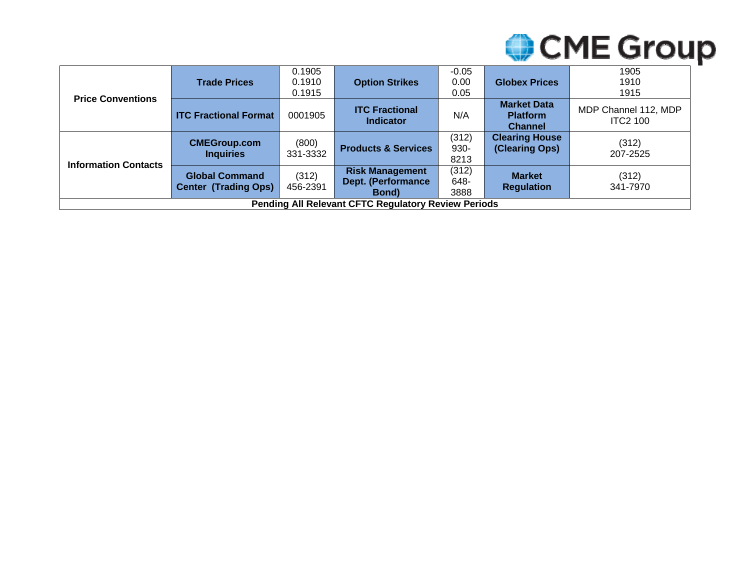

|                                                            | <b>Trade Prices</b>                                  | 0.1905<br>0.1910<br>0.1915 | <b>Option Strikes</b>                                              | $-0.05$<br>0.00<br>0.05 | <b>Globex Prices</b>                                    | 1905<br>1910<br>1915                    |
|------------------------------------------------------------|------------------------------------------------------|----------------------------|--------------------------------------------------------------------|-------------------------|---------------------------------------------------------|-----------------------------------------|
| <b>Price Conventions</b>                                   | <b>ITC Fractional Format</b>                         | 0001905                    | <b>ITC Fractional</b><br><b>Indicator</b>                          | N/A                     | <b>Market Data</b><br><b>Platform</b><br><b>Channel</b> | MDP Channel 112, MDP<br><b>ITC2 100</b> |
|                                                            | <b>CMEGroup.com</b><br><b>Inquiries</b>              | (800)<br>331-3332          | <b>Products &amp; Services</b>                                     | (312)<br>930-<br>8213   | <b>Clearing House</b><br>(Clearing Ops)                 | (312)<br>207-2525                       |
| <b>Information Contacts</b>                                | <b>Global Command</b><br><b>Center (Trading Ops)</b> | (312)<br>456-2391          | <b>Risk Management</b><br><b>Dept. (Performance</b><br><b>Bond</b> | (312)<br>648-<br>3888   | <b>Market</b><br><b>Regulation</b>                      | (312)<br>341-7970                       |
| <b>Pending All Relevant CFTC Regulatory Review Periods</b> |                                                      |                            |                                                                    |                         |                                                         |                                         |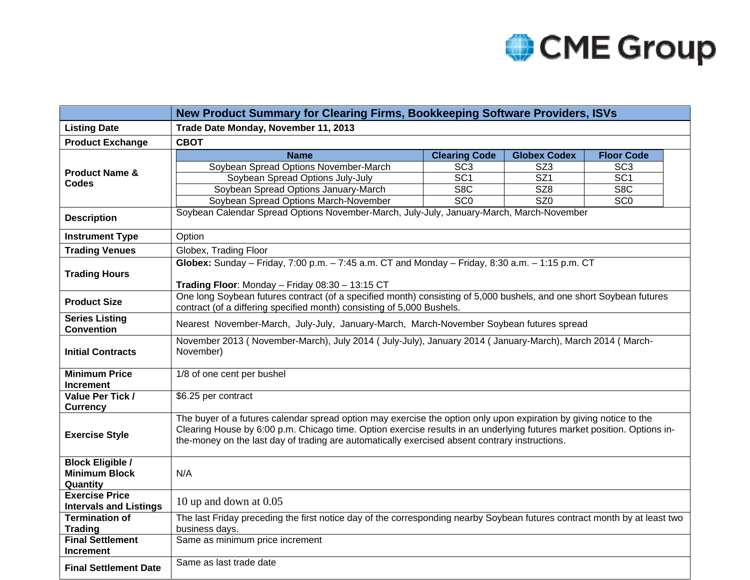

|                                                             | New Product Summary for Clearing Firms, Bookkeeping Software Providers, ISVs                                                                                                                                                                                                                                                                    |                      |                         |                   |  |  |  |  |
|-------------------------------------------------------------|-------------------------------------------------------------------------------------------------------------------------------------------------------------------------------------------------------------------------------------------------------------------------------------------------------------------------------------------------|----------------------|-------------------------|-------------------|--|--|--|--|
| <b>Listing Date</b>                                         | Trade Date Monday, November 11, 2013                                                                                                                                                                                                                                                                                                            |                      |                         |                   |  |  |  |  |
| <b>Product Exchange</b>                                     | <b>CBOT</b>                                                                                                                                                                                                                                                                                                                                     |                      |                         |                   |  |  |  |  |
|                                                             | <b>Name</b>                                                                                                                                                                                                                                                                                                                                     | <b>Clearing Code</b> | <b>Globex Codex</b>     | <b>Floor Code</b> |  |  |  |  |
| <b>Product Name &amp;</b>                                   | Soybean Spread Options November-March                                                                                                                                                                                                                                                                                                           | SC <sub>3</sub>      | SZ <sub>3</sub>         | SC <sub>3</sub>   |  |  |  |  |
| Codes                                                       | Soybean Spread Options July-July                                                                                                                                                                                                                                                                                                                | SC <sub>1</sub>      | $\overline{SZ1}$        | SC <sub>1</sub>   |  |  |  |  |
|                                                             | Soybean Spread Options January-March                                                                                                                                                                                                                                                                                                            | S <sub>8</sub> C     | SZ8                     | S <sub>8</sub> C  |  |  |  |  |
|                                                             | Soybean Spread Options March-November                                                                                                                                                                                                                                                                                                           | SCO                  | $\overline{\text{SZ0}}$ | SC <sub>0</sub>   |  |  |  |  |
| <b>Description</b>                                          | Soybean Calendar Spread Options November-March, July-July, January-March, March-November                                                                                                                                                                                                                                                        |                      |                         |                   |  |  |  |  |
| <b>Instrument Type</b>                                      | Option                                                                                                                                                                                                                                                                                                                                          |                      |                         |                   |  |  |  |  |
| <b>Trading Venues</b>                                       | Globex, Trading Floor                                                                                                                                                                                                                                                                                                                           |                      |                         |                   |  |  |  |  |
|                                                             | Globex: Sunday – Friday, 7:00 p.m. – 7:45 a.m. CT and Monday – Friday, 8:30 a.m. – 1:15 p.m. CT                                                                                                                                                                                                                                                 |                      |                         |                   |  |  |  |  |
| <b>Trading Hours</b>                                        |                                                                                                                                                                                                                                                                                                                                                 |                      |                         |                   |  |  |  |  |
|                                                             | Trading Floor: Monday - Friday 08:30 - 13:15 CT                                                                                                                                                                                                                                                                                                 |                      |                         |                   |  |  |  |  |
| <b>Product Size</b>                                         | One long Soybean futures contract (of a specified month) consisting of 5,000 bushels, and one short Soybean futures<br>contract (of a differing specified month) consisting of 5,000 Bushels.                                                                                                                                                   |                      |                         |                   |  |  |  |  |
| <b>Series Listing</b><br><b>Convention</b>                  | Nearest November-March, July-July, January-March, March-November Soybean futures spread                                                                                                                                                                                                                                                         |                      |                         |                   |  |  |  |  |
| <b>Initial Contracts</b>                                    | November 2013 (November-March), July 2014 (July-July), January 2014 (January-March), March 2014 (March-<br>November)                                                                                                                                                                                                                            |                      |                         |                   |  |  |  |  |
| <b>Minimum Price</b><br><b>Increment</b>                    | 1/8 of one cent per bushel                                                                                                                                                                                                                                                                                                                      |                      |                         |                   |  |  |  |  |
| Value Per Tick /                                            | \$6.25 per contract                                                                                                                                                                                                                                                                                                                             |                      |                         |                   |  |  |  |  |
| <b>Currency</b>                                             |                                                                                                                                                                                                                                                                                                                                                 |                      |                         |                   |  |  |  |  |
| <b>Exercise Style</b>                                       | The buyer of a futures calendar spread option may exercise the option only upon expiration by giving notice to the<br>Clearing House by 6:00 p.m. Chicago time. Option exercise results in an underlying futures market position. Options in-<br>the-money on the last day of trading are automatically exercised absent contrary instructions. |                      |                         |                   |  |  |  |  |
| <b>Block Eligible /</b><br><b>Minimum Block</b><br>Quantity | N/A                                                                                                                                                                                                                                                                                                                                             |                      |                         |                   |  |  |  |  |
| <b>Exercise Price</b><br><b>Intervals and Listings</b>      | 10 up and down at $0.05$                                                                                                                                                                                                                                                                                                                        |                      |                         |                   |  |  |  |  |
| <b>Termination of</b><br><b>Trading</b>                     | The last Friday preceding the first notice day of the corresponding nearby Soybean futures contract month by at least two<br>business days.                                                                                                                                                                                                     |                      |                         |                   |  |  |  |  |
| <b>Final Settlement</b><br><b>Increment</b>                 | Same as minimum price increment                                                                                                                                                                                                                                                                                                                 |                      |                         |                   |  |  |  |  |
| <b>Final Settlement Date</b>                                | Same as last trade date                                                                                                                                                                                                                                                                                                                         |                      |                         |                   |  |  |  |  |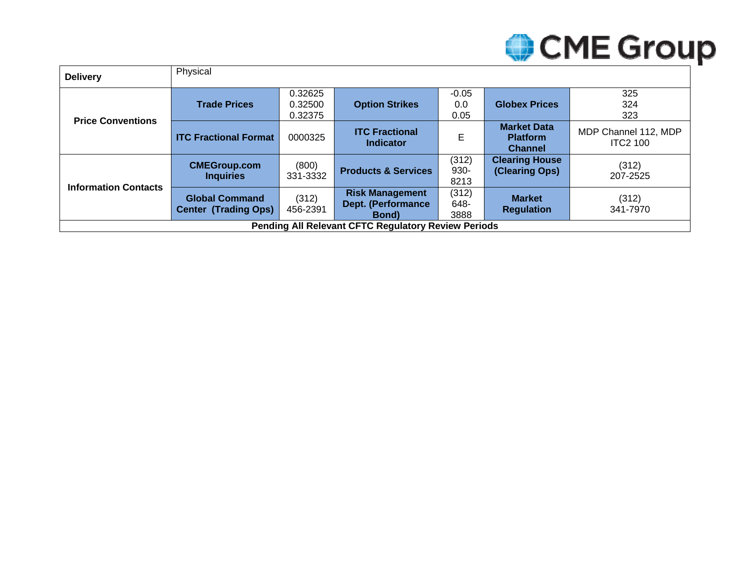

| <b>Delivery</b>                                            | Physical                                             |                               |                                                                    |                        |                                                         |                                         |
|------------------------------------------------------------|------------------------------------------------------|-------------------------------|--------------------------------------------------------------------|------------------------|---------------------------------------------------------|-----------------------------------------|
| <b>Price Conventions</b>                                   | <b>Trade Prices</b>                                  | 0.32625<br>0.32500<br>0.32375 | <b>Option Strikes</b>                                              | $-0.05$<br>0.0<br>0.05 | <b>Globex Prices</b>                                    | 325<br>324<br>323                       |
|                                                            | <b>ITC Fractional Format</b>                         | 0000325                       | <b>ITC Fractional</b><br><b>Indicator</b>                          | E                      | <b>Market Data</b><br><b>Platform</b><br><b>Channel</b> | MDP Channel 112, MDP<br><b>ITC2 100</b> |
| <b>Information Contacts</b>                                | <b>CMEGroup.com</b><br><b>Inquiries</b>              | (800)<br>331-3332             | <b>Products &amp; Services</b>                                     | (312)<br>930-<br>8213  | <b>Clearing House</b><br>(Clearing Ops)                 | (312)<br>207-2525                       |
|                                                            | <b>Global Command</b><br><b>Center (Trading Ops)</b> | (312)<br>456-2391             | <b>Risk Management</b><br><b>Dept. (Performance</b><br><b>Bond</b> | (312)<br>648-<br>3888  | <b>Market</b><br><b>Regulation</b>                      | (312)<br>341-7970                       |
| <b>Pending All Relevant CFTC Regulatory Review Periods</b> |                                                      |                               |                                                                    |                        |                                                         |                                         |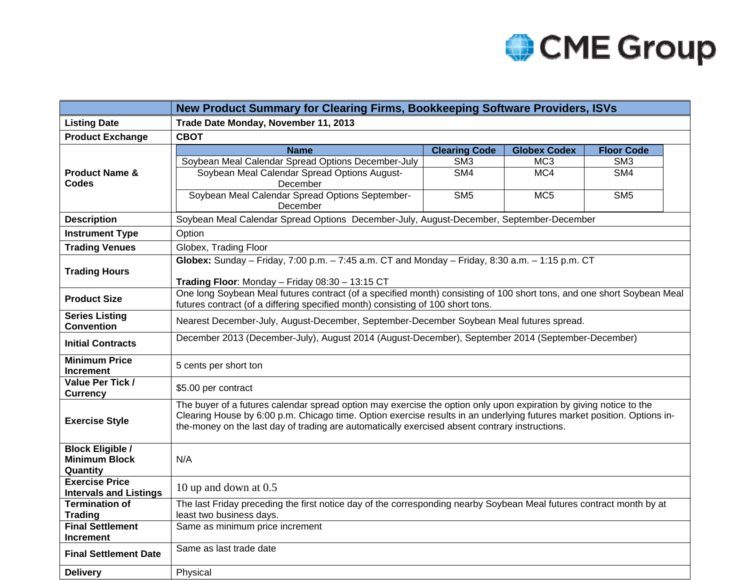

|                                          | New Product Summary for Clearing Firms, Bookkeeping Software Providers, ISVs                                                                                                                                                                                                                                                                    |                         |                     |                   |  |  |  |  |  |  |
|------------------------------------------|-------------------------------------------------------------------------------------------------------------------------------------------------------------------------------------------------------------------------------------------------------------------------------------------------------------------------------------------------|-------------------------|---------------------|-------------------|--|--|--|--|--|--|
| <b>Listing Date</b>                      | Trade Date Monday, November 11, 2013                                                                                                                                                                                                                                                                                                            |                         |                     |                   |  |  |  |  |  |  |
| <b>Product Exchange</b>                  | <b>CBOT</b>                                                                                                                                                                                                                                                                                                                                     |                         |                     |                   |  |  |  |  |  |  |
|                                          | <b>Name</b>                                                                                                                                                                                                                                                                                                                                     | <b>Clearing Code</b>    | <b>Globex Codex</b> | <b>Floor Code</b> |  |  |  |  |  |  |
|                                          | Soybean Meal Calendar Spread Options December-July                                                                                                                                                                                                                                                                                              | SM <sub>3</sub>         | MC <sub>3</sub>     | SM <sub>3</sub>   |  |  |  |  |  |  |
| <b>Product Name &amp;</b>                | Soybean Meal Calendar Spread Options August-                                                                                                                                                                                                                                                                                                    | S <sub>M4</sub>         | MC4                 | S <sub>M4</sub>   |  |  |  |  |  |  |
| Codes                                    | December                                                                                                                                                                                                                                                                                                                                        |                         |                     |                   |  |  |  |  |  |  |
|                                          | Soybean Meal Calendar Spread Options September-                                                                                                                                                                                                                                                                                                 | $\overline{\text{SM5}}$ | MC <sub>5</sub>     | S <sub>M5</sub>   |  |  |  |  |  |  |
|                                          | December<br>Soybean Meal Calendar Spread Options December-July, August-December, September-December                                                                                                                                                                                                                                             |                         |                     |                   |  |  |  |  |  |  |
| <b>Description</b>                       |                                                                                                                                                                                                                                                                                                                                                 |                         |                     |                   |  |  |  |  |  |  |
| <b>Instrument Type</b>                   | Option                                                                                                                                                                                                                                                                                                                                          |                         |                     |                   |  |  |  |  |  |  |
| <b>Trading Venues</b>                    | Globex, Trading Floor                                                                                                                                                                                                                                                                                                                           |                         |                     |                   |  |  |  |  |  |  |
|                                          | Globex: Sunday - Friday, 7:00 p.m. - 7:45 a.m. CT and Monday - Friday, 8:30 a.m. - 1:15 p.m. CT                                                                                                                                                                                                                                                 |                         |                     |                   |  |  |  |  |  |  |
| <b>Trading Hours</b>                     | Trading Floor: Monday - Friday 08:30 - 13:15 CT                                                                                                                                                                                                                                                                                                 |                         |                     |                   |  |  |  |  |  |  |
|                                          | One long Soybean Meal futures contract (of a specified month) consisting of 100 short tons, and one short Soybean Meal                                                                                                                                                                                                                          |                         |                     |                   |  |  |  |  |  |  |
| <b>Product Size</b>                      | futures contract (of a differing specified month) consisting of 100 short tons.                                                                                                                                                                                                                                                                 |                         |                     |                   |  |  |  |  |  |  |
| <b>Series Listing</b>                    | Nearest December-July, August-December, September-December Soybean Meal futures spread.                                                                                                                                                                                                                                                         |                         |                     |                   |  |  |  |  |  |  |
| <b>Convention</b>                        |                                                                                                                                                                                                                                                                                                                                                 |                         |                     |                   |  |  |  |  |  |  |
| <b>Initial Contracts</b>                 | December 2013 (December-July), August 2014 (August-December), September 2014 (September-December)                                                                                                                                                                                                                                               |                         |                     |                   |  |  |  |  |  |  |
| <b>Minimum Price</b><br><b>Increment</b> | 5 cents per short ton                                                                                                                                                                                                                                                                                                                           |                         |                     |                   |  |  |  |  |  |  |
| Value Per Tick /<br><b>Currency</b>      | \$5.00 per contract                                                                                                                                                                                                                                                                                                                             |                         |                     |                   |  |  |  |  |  |  |
| <b>Exercise Style</b>                    | The buyer of a futures calendar spread option may exercise the option only upon expiration by giving notice to the<br>Clearing House by 6:00 p.m. Chicago time. Option exercise results in an underlying futures market position. Options in-<br>the-money on the last day of trading are automatically exercised absent contrary instructions. |                         |                     |                   |  |  |  |  |  |  |
| <b>Block Eligible /</b>                  |                                                                                                                                                                                                                                                                                                                                                 |                         |                     |                   |  |  |  |  |  |  |
| <b>Minimum Block</b>                     | N/A                                                                                                                                                                                                                                                                                                                                             |                         |                     |                   |  |  |  |  |  |  |
| Quantity<br><b>Exercise Price</b>        |                                                                                                                                                                                                                                                                                                                                                 |                         |                     |                   |  |  |  |  |  |  |
| <b>Intervals and Listings</b>            | 10 up and down at 0.5                                                                                                                                                                                                                                                                                                                           |                         |                     |                   |  |  |  |  |  |  |
| <b>Termination of</b>                    | The last Friday preceding the first notice day of the corresponding nearby Soybean Meal futures contract month by at                                                                                                                                                                                                                            |                         |                     |                   |  |  |  |  |  |  |
| <b>Trading</b>                           | least two business days.                                                                                                                                                                                                                                                                                                                        |                         |                     |                   |  |  |  |  |  |  |
| <b>Final Settlement</b>                  | Same as minimum price increment                                                                                                                                                                                                                                                                                                                 |                         |                     |                   |  |  |  |  |  |  |
| <b>Increment</b>                         |                                                                                                                                                                                                                                                                                                                                                 |                         |                     |                   |  |  |  |  |  |  |
| <b>Final Settlement Date</b>             | Same as last trade date                                                                                                                                                                                                                                                                                                                         |                         |                     |                   |  |  |  |  |  |  |
| <b>Delivery</b>                          | Physical                                                                                                                                                                                                                                                                                                                                        |                         |                     |                   |  |  |  |  |  |  |